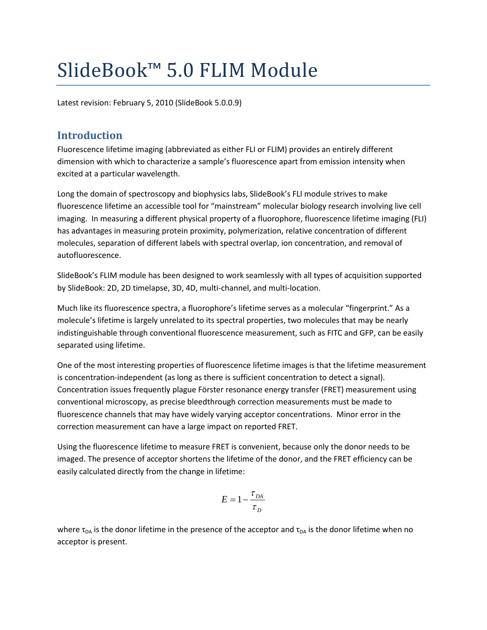# SlideBook™ 5.0 FLIM Module

Latest revision: February 5, 2010 (SlideBook 5.0.0.9)

## **Introduction**

Fluorescence lifetime imaging (abbreviated as either FLI or FLIM) provides an entirely different dimension with which to characterize a sample's fluorescence apart from emission intensity when excited at a particular wavelength.

Long the domain of spectroscopy and biophysics labs, SlideBook's FLI module strives to make fluorescence lifetime an accessible tool for "mainstream" molecular biology research involving live cell imaging. In measuring a different physical property of a fluorophore, fluorescence lifetime imaging (FLI) has advantages in measuring protein proximity, polymerization, relative concentration of different molecules, separation of different labels with spectral overlap, ion concentration, and removal of autofluorescence.

SlideBook's FLIM module has been designed to work seamlessly with all types of acquisition supported by SlideBook: 2D, 2D timelapse, 3D, 4D, multi-channel, and multi-location.

Much like its fluorescence spectra, a fluorophore's lifetime serves as a molecular "fingerprint." As a molecule's lifetime is largely unrelated to its spectral properties, two molecules that may be nearly indistinguishable through conventional fluorescence measurement, such as FITC and GFP, can be easily separated using lifetime.

One of the most interesting properties of fluorescence lifetime images is that the lifetime measurement is concentration-independent (as long as there is sufficient concentration to detect a signal). Concentration issues frequently plague Förster resonance energy transfer (FRET) measurement using conventional microscopy, as precise bleedthrough correction measurements must be made to fluorescence channels that may have widely varying acceptor concentrations. Minor error in the correction measurement can have a large impact on reported FRET.

Using the fluorescence lifetime to measure FRET is convenient, because only the donor needs to be imaged. The presence of acceptor shortens the lifetime of the donor, and the FRET efficiency can be easily calculated directly from the change in lifetime:

$$
E = 1 - \frac{\tau_{DA}}{\tau_D}
$$

where  $\tau_{DA}$  is the donor lifetime in the presence of the acceptor and  $\tau_{DA}$  is the donor lifetime when no acceptor is present.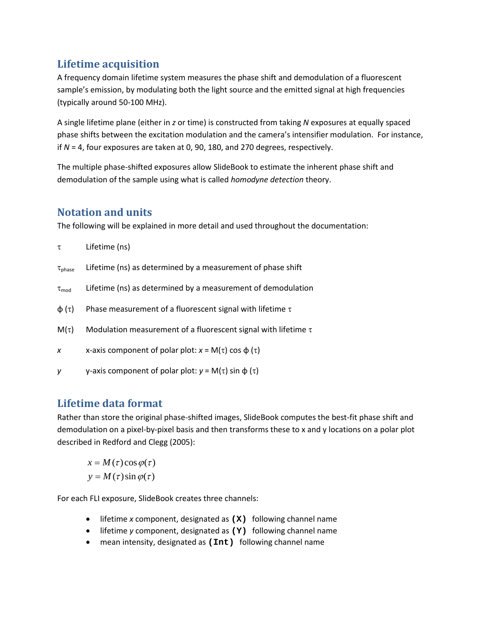# **Lifetime acquisition**

A frequency domain lifetime system measures the phase shift and demodulation of a fluorescent sample's emission, by modulating both the light source and the emitted signal at high frequencies (typically around 50-100 MHz).

A single lifetime plane (either in *z* or time) is constructed from taking *N* exposures at equally spaced phase shifts between the excitation modulation and the camera's intensifier modulation. For instance, if *N* = 4, four exposures are taken at 0, 90, 180, and 270 degrees, respectively.

The multiple phase-shifted exposures allow SlideBook to estimate the inherent phase shift and demodulation of the sample using what is called *homodyne detection* theory.

## **Notation and units**

The following will be explained in more detail and used throughout the documentation:

| τ                     | Lifetime (ns)                                                       |
|-----------------------|---------------------------------------------------------------------|
| $\tau_{\text{phase}}$ | Lifetime (ns) as determined by a measurement of phase shift         |
| $\tau_{mod}$          | Lifetime (ns) as determined by a measurement of demodulation        |
| $\phi(\tau)$          | Phase measurement of a fluorescent signal with lifetime $\tau$      |
| $M(\tau)$             | Modulation measurement of a fluorescent signal with lifetime $\tau$ |
| $\boldsymbol{x}$      | x-axis component of polar plot: $x = M(\tau) \cos \phi(\tau)$       |
| y                     | y-axis component of polar plot: $y = M(\tau)$ sin $\phi(\tau)$      |

# **Lifetime data format**

Rather than store the original phase-shifted images, SlideBook computes the best-fit phase shift and demodulation on a pixel-by-pixel basis and then transforms these to x and y locations on a polar plot described in Redford and Clegg (2005):

 $y = M(\tau) \sin \varphi(\tau)$  $x = M(\tau) \cos \varphi(\tau)$ 

For each FLI exposure, SlideBook creates three channels:

- lifetime *x* component, designated as **(X)** following channel name
- lifetime *y* component, designated as **(Y)** following channel name
- mean intensity, designated as **(Int)** following channel name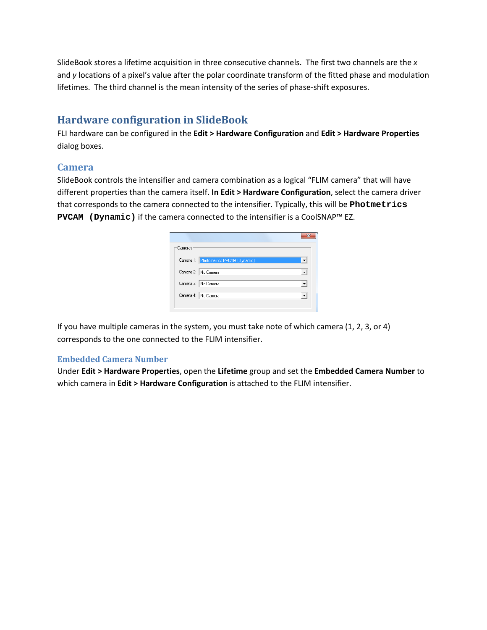SlideBook stores a lifetime acquisition in three consecutive channels. The first two channels are the *x* and *y* locations of a pixel's value after the polar coordinate transform of the fitted phase and modulation lifetimes. The third channel is the mean intensity of the series of phase-shift exposures.

# **Hardware configuration in SlideBook**

FLI hardware can be configured in the **Edit > Hardware Configuration** and **Edit > Hardware Properties** dialog boxes.

## **Camera**

SlideBook controls the intensifier and camera combination as a logical "FLIM camera" that will have different properties than the camera itself. **In Edit > Hardware Configuration**, select the camera driver that corresponds to the camera connected to the intensifier. Typically, this will be **Photmetrics PVCAM (Dynamic)** if the camera connected to the intensifier is a CoolSNAP™ EZ.

| Cameras                                |  |
|----------------------------------------|--|
| Camera 1: Photometrics PVCAM (Dynamic) |  |
| Camera 2: No Camera                    |  |
| Camera 3: No Camera                    |  |
| Camera 4: No Camera                    |  |
|                                        |  |

If you have multiple cameras in the system, you must take note of which camera (1, 2, 3, or 4) corresponds to the one connected to the FLIM intensifier.

#### **Embedded Camera Number**

Under **Edit > Hardware Properties**, open the **Lifetime** group and set the **Embedded Camera Number** to which camera in **Edit > Hardware Configuration** is attached to the FLIM intensifier.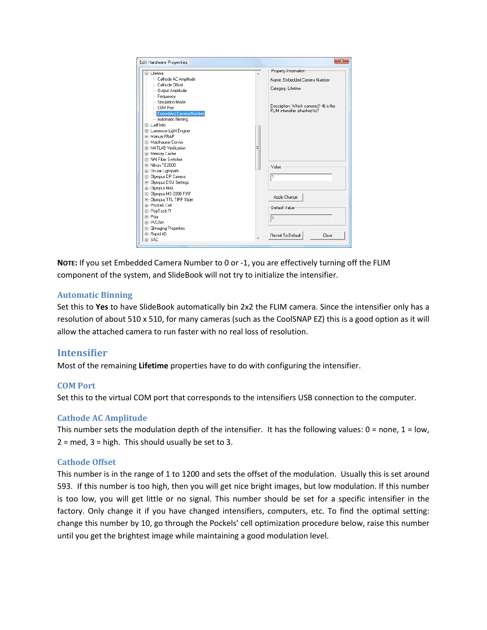| <b>Edit Hardware Properties</b>                                                                                                                                                                                                                                                                                                                                                                                           | $\mathbf{x}$                                                                                                                                                             |
|---------------------------------------------------------------------------------------------------------------------------------------------------------------------------------------------------------------------------------------------------------------------------------------------------------------------------------------------------------------------------------------------------------------------------|--------------------------------------------------------------------------------------------------------------------------------------------------------------------------|
| <b>E</b> -Lifetime<br>- Cathode AC Amplitude<br>- Cathode Offset<br>-- Output Amplitude<br>Frequency<br>-- Simulation Mode<br>- COM Port<br><b>Embedded Camera Number</b><br>Automatic Binning<br>Fi-LudLhfo<br>E- Lumencor Light Engine<br>中· Manual FRAP<br>Fi- Marzhauser Corvus<br>Fi-MATLAB Verification<br>E Memory Cache<br>Fi-NAI Fiber Switcher<br>Fi-Nikon TE2000<br>由 Ocular Lightpath<br>El-Olympus DP Camera | Property Information<br>▴<br>Name: Embedded Camera Number<br>Category: Lifetime<br>Description: Which camera [1-4] is the<br>FLIM intensifier attached to?<br>Ξ<br>Value |
| 由- Olympus DSU Settings<br>Fi-Olympus MAL<br>El-Olympus MS-2000 TIRF<br>E-Olympus TTL TIRF Slider<br>中· Pockels Cell<br>由 PolyTech Pl<br>Fi-Prior<br>F-PVCAM<br>E- Qimaging Properties<br>由 Rapid 4D<br>Fi-SAC                                                                                                                                                                                                            | 1<br>Apply Change<br>Default Value<br>lo<br>Revert To Default<br>Close                                                                                                   |

**NOTE:** If you set Embedded Camera Number to 0 or -1, you are effectively turning off the FLIM component of the system, and SlideBook will not try to initialize the intensifier.

#### **Automatic Binning**

Set this to **Yes** to have SlideBook automatically bin 2x2 the FLIM camera. Since the intensifier only has a resolution of about 510 x 510, for many cameras (such as the CoolSNAP EZ) this is a good option as it will allow the attached camera to run faster with no real loss of resolution.

## **Intensifier**

Most of the remaining **Lifetime** properties have to do with configuring the intensifier.

#### **COM Port**

Set this to the virtual COM port that corresponds to the intensifiers USB connection to the computer.

#### **Cathode AC Amplitude**

This number sets the modulation depth of the intensifier. It has the following values:  $0 =$  none,  $1 =$  low,  $2 =$  med,  $3 =$  high. This should usually be set to 3.

#### **Cathode Offset**

This number is in the range of 1 to 1200 and sets the offset of the modulation. Usually this is set around 593. If this number is too high, then you will get nice bright images, but low modulation. If this number is too low, you will get little or no signal. This number should be set for a specific intensifier in the factory. Only change it if you have changed intensifiers, computers, etc. To find the optimal setting: change this number by 10, go through the Pockels' cell optimization procedure below, raise this number until you get the brightest image while maintaining a good modulation level.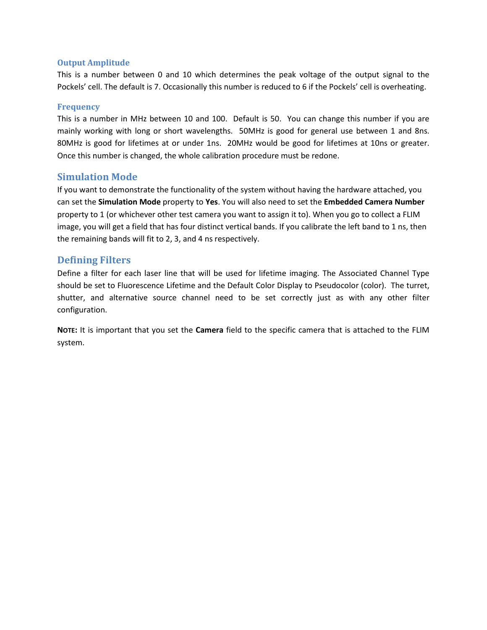#### **Output Amplitude**

This is a number between 0 and 10 which determines the peak voltage of the output signal to the Pockels' cell. The default is 7. Occasionally this number is reduced to 6 if the Pockels' cell is overheating.

#### **Frequency**

This is a number in MHz between 10 and 100. Default is 50. You can change this number if you are mainly working with long or short wavelengths. 50MHz is good for general use between 1 and 8ns. 80MHz is good for lifetimes at or under 1ns. 20MHz would be good for lifetimes at 10ns or greater. Once this number is changed, the whole calibration procedure must be redone.

## **Simulation Mode**

If you want to demonstrate the functionality of the system without having the hardware attached, you can set the **Simulation Mode** property to **Yes**. You will also need to set the **Embedded Camera Number** property to 1 (or whichever other test camera you want to assign it to). When you go to collect a FLIM image, you will get a field that has four distinct vertical bands. If you calibrate the left band to 1 ns, then the remaining bands will fit to 2, 3, and 4 ns respectively.

## **Defining Filters**

Define a filter for each laser line that will be used for lifetime imaging. The Associated Channel Type should be set to Fluorescence Lifetime and the Default Color Display to Pseudocolor (color). The turret, shutter, and alternative source channel need to be set correctly just as with any other filter configuration.

**NOTE:** It is important that you set the **Camera** field to the specific camera that is attached to the FLIM system.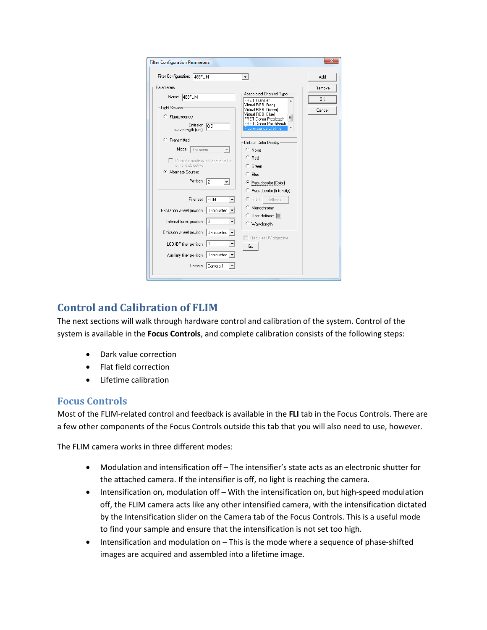| <b>Filter Configuration Parameters</b>                                                                                                         |                                                                                                                                                                              | х                   |
|------------------------------------------------------------------------------------------------------------------------------------------------|------------------------------------------------------------------------------------------------------------------------------------------------------------------------------|---------------------|
| Filter Configuration: 488FLIM                                                                                                                  |                                                                                                                                                                              | Add                 |
| Parameters                                                                                                                                     | Associated Channel Type                                                                                                                                                      | Remove              |
| Name: 488FLIM<br>Light Source<br>C Fluorescence:<br>Emission<br>n <sub>5</sub><br>wavelength (um):                                             | <b>FRET Transfer</b><br>Virtual RGB (Red)<br>Virtual RGB (Green)<br>Virtual RGB (Blue)<br>Ξ<br>FRET Donor Prebleach<br>FRET Donor Postbleach<br><b>Fluorescence Lifetime</b> | <b>OK</b><br>Cancel |
| $C$ Transmitted:<br>Mode: Unknown<br>F Prompt if mode is not available for<br>current objective<br>C Alternate Source:<br>Position:<br>l2<br>▾ | Default Color Display<br>$\cap$ None<br>$C$ Red<br>C Green<br>$\subset$ Blue<br>Pseudocolor (Color)                                                                          |                     |
| Filter set: FLIM<br>Excitation wheel position: Unmounted<br>Internal turret position: 3                                                        | C Pseudocolor (Intensity)<br>$C$ RGB<br>Settings<br>C Monochrome<br>C User-defined:<br>C Wavelength                                                                          |                     |
| Emission wheel position: Unmounted<br>LCD/BF filter position:<br>$\mathbf{10}$<br>Auxiliary filter position: Unmounted<br>Camera: Camera 1     | □ Requires UV objective<br>Go                                                                                                                                                |                     |
|                                                                                                                                                |                                                                                                                                                                              |                     |

# **Control and Calibration of FLIM**

The next sections will walk through hardware control and calibration of the system. Control of the system is available in the **Focus Controls**, and complete calibration consists of the following steps:

- Dark value correction
- Flat field correction
- Lifetime calibration

## **Focus Controls**

Most of the FLIM-related control and feedback is available in the **FLI** tab in the Focus Controls. There are a few other components of the Focus Controls outside this tab that you will also need to use, however.

The FLIM camera works in three different modes:

- Modulation and intensification off The intensifier's state acts as an electronic shutter for the attached camera. If the intensifier is off, no light is reaching the camera.
- Intensification on, modulation off With the intensification on, but high-speed modulation off, the FLIM camera acts like any other intensified camera, with the intensification dictated by the Intensification slider on the Camera tab of the Focus Controls. This is a useful mode to find your sample and ensure that the intensification is not set too high.
- Intensification and modulation on This is the mode where a sequence of phase-shifted images are acquired and assembled into a lifetime image.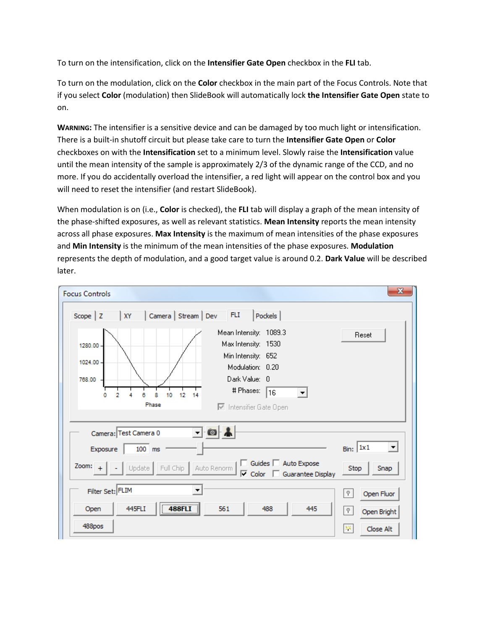To turn on the intensification, click on the **Intensifier Gate Open** checkbox in the **FLI** tab.

To turn on the modulation, click on the **Color** checkbox in the main part of the Focus Controls. Note that if you select **Color** (modulation) then SlideBook will automatically lock **the Intensifier Gate Open** state to on.

**WARNING:** The intensifier is a sensitive device and can be damaged by too much light or intensification. There is a built-in shutoff circuit but please take care to turn the **Intensifier Gate Open** or **Color** checkboxes on with the **Intensification** set to a minimum level. Slowly raise the **Intensification** value until the mean intensity of the sample is approximately 2/3 of the dynamic range of the CCD, and no more. If you do accidentally overload the intensifier, a red light will appear on the control box and you will need to reset the intensifier (and restart SlideBook).

When modulation is on (i.e., **Color** is checked), the **FLI** tab will display a graph of the mean intensity of the phase-shifted exposures, as well as relevant statistics. **Mean Intensity** reports the mean intensity across all phase exposures. **Max Intensity** is the maximum of mean intensities of the phase exposures and **Min Intensity** is the minimum of the mean intensities of the phase exposures. **Modulation** represents the depth of modulation, and a good target value is around 0.2. **Dark Value** will be described later.

| <b>Focus Controls</b>                                                                                                                                                  | $\mathbf{x}$                        |
|------------------------------------------------------------------------------------------------------------------------------------------------------------------------|-------------------------------------|
| Camera   Stream   Dev<br><b>FLI</b><br><b>Pockels</b><br>Scope $ Z$<br>XY<br>Mean Intensity: 1089.3<br>Max Intensity: 1530<br>1280.00<br>Min Intensity: 652<br>1024.00 | Reset                               |
| Modulation: 0.20<br>Dark Value: 0<br>768.00<br># Phases:<br>16<br>12<br>0<br>2<br>10<br>8<br>14<br>Phase<br>Intensifier Gate Open                                      |                                     |
| $-0$<br>Camera: Test Camera 0                                                                                                                                          |                                     |
| $100$ ms<br>Exposure                                                                                                                                                   | Bin: 1x1<br>$\vert \cdot \vert$     |
| □ Guides □ Auto Expose<br>Zoom: $+$<br>Update<br>Full Chip<br>Auto Renorm<br>$\overline{\vee}$ Color<br>Guarantee Display                                              | Stop<br>Snap                        |
| Filter Set: FLIM<br>▼                                                                                                                                                  | Open Fluor<br>P.                    |
| 488FLI<br>445FLI<br>561<br>488<br>445<br>Open<br>488pos                                                                                                                | Ÿ.<br>Open Bright<br>解<br>Close Alt |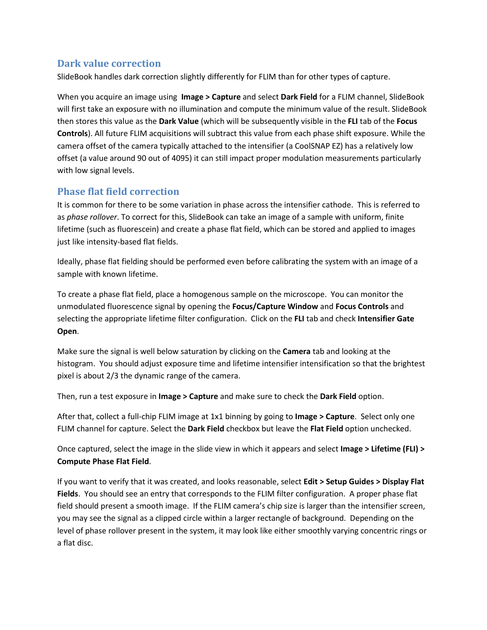## **Dark value correction**

SlideBook handles dark correction slightly differently for FLIM than for other types of capture.

When you acquire an image using **Image > Capture** and select **Dark Field** for a FLIM channel, SlideBook will first take an exposure with no illumination and compute the minimum value of the result. SlideBook then stores this value as the **Dark Value** (which will be subsequently visible in the **FLI** tab of the **Focus Controls**). All future FLIM acquisitions will subtract this value from each phase shift exposure. While the camera offset of the camera typically attached to the intensifier (a CoolSNAP EZ) has a relatively low offset (a value around 90 out of 4095) it can still impact proper modulation measurements particularly with low signal levels.

## **Phase flat field correction**

It is common for there to be some variation in phase across the intensifier cathode. This is referred to as *phase rollover*. To correct for this, SlideBook can take an image of a sample with uniform, finite lifetime (such as fluorescein) and create a phase flat field, which can be stored and applied to images just like intensity-based flat fields.

Ideally, phase flat fielding should be performed even before calibrating the system with an image of a sample with known lifetime.

To create a phase flat field, place a homogenous sample on the microscope. You can monitor the unmodulated fluorescence signal by opening the **Focus/Capture Window** and **Focus Controls** and selecting the appropriate lifetime filter configuration. Click on the **FLI** tab and check **Intensifier Gate Open**.

Make sure the signal is well below saturation by clicking on the **Camera** tab and looking at the histogram. You should adjust exposure time and lifetime intensifier intensification so that the brightest pixel is about 2/3 the dynamic range of the camera.

Then, run a test exposure in **Image > Capture** and make sure to check the **Dark Field** option.

After that, collect a full-chip FLIM image at 1x1 binning by going to **Image > Capture**. Select only one FLIM channel for capture. Select the **Dark Field** checkbox but leave the **Flat Field** option unchecked.

Once captured, select the image in the slide view in which it appears and select **Image > Lifetime (FLI) > Compute Phase Flat Field**.

If you want to verify that it was created, and looks reasonable, select **Edit > Setup Guides > Display Flat Fields**. You should see an entry that corresponds to the FLIM filter configuration. A proper phase flat field should present a smooth image. If the FLIM camera's chip size is larger than the intensifier screen, you may see the signal as a clipped circle within a larger rectangle of background. Depending on the level of phase rollover present in the system, it may look like either smoothly varying concentric rings or a flat disc.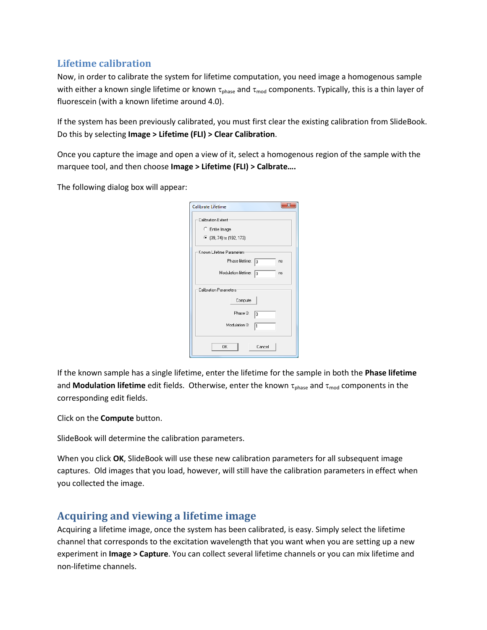## **Lifetime calibration**

Now, in order to calibrate the system for lifetime computation, you need image a homogenous sample with either a known single lifetime or known  $\tau_{phase}$  and  $\tau_{mod}$  components. Typically, this is a thin layer of fluorescein (with a known lifetime around 4.0).

If the system has been previously calibrated, you must first clear the existing calibration from SlideBook. Do this by selecting **Image > Lifetime (FLI) > Clear Calibration**.

Once you capture the image and open a view of it, select a homogenous region of the sample with the marquee tool, and then choose **Image > Lifetime (FLI) > Calbrate….** 

The following dialog box will appear:

| Calibrate Lifetime               |  |  |
|----------------------------------|--|--|
| Calibration Extent               |  |  |
| C Entire Image                   |  |  |
| • (39, 74) to (192, 173)         |  |  |
| Known Lifetime Parameters        |  |  |
| Phase lifetime:<br>10<br>ns      |  |  |
| Modulation lifetime:<br>10<br>ns |  |  |
| <b>Calibration Parameters</b>    |  |  |
| Compute                          |  |  |
| Phase 0:<br>10                   |  |  |
| Modulation 0:<br>1               |  |  |
| OK<br>Cancel                     |  |  |

If the known sample has a single lifetime, enter the lifetime for the sample in both the **Phase lifetime** and **Modulation lifetime** edit fields. Otherwise, enter the known τ<sub>phase</sub> and τ<sub>mod</sub> components in the corresponding edit fields.

Click on the **Compute** button.

SlideBook will determine the calibration parameters.

When you click **OK**, SlideBook will use these new calibration parameters for all subsequent image captures. Old images that you load, however, will still have the calibration parameters in effect when you collected the image.

## **Acquiring and viewing a lifetime image**

Acquiring a lifetime image, once the system has been calibrated, is easy. Simply select the lifetime channel that corresponds to the excitation wavelength that you want when you are setting up a new experiment in **Image > Capture**. You can collect several lifetime channels or you can mix lifetime and non-lifetime channels.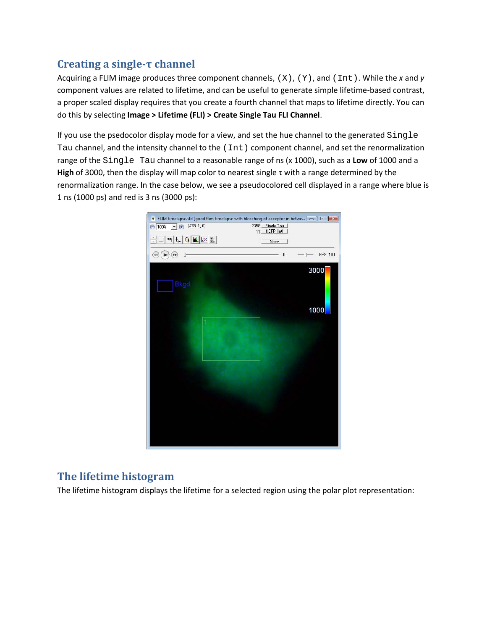# **Creating a single-τ channel**

Acquiring a FLIM image produces three component channels, (X), (Y), and (Int). While the *x* and *y* component values are related to lifetime, and can be useful to generate simple lifetime-based contrast, a proper scaled display requires that you create a fourth channel that maps to lifetime directly. You can do this by selecting **Image > Lifetime (FLI) > Create Single Tau FLI Channel**.

If you use the psedocolor display mode for a view, and set the hue channel to the generated Single Tau channel, and the intensity channel to the (Int) component channel, and set the renormalization range of the Single Tau channel to a reasonable range of ns (x 1000), such as a **Low** of 1000 and a **High** of 3000, then the display will map color to nearest single τ with a range determined by the renormalization range. In the case below, we see a pseudocolored cell displayed in a range where blue is 1 ns (1000 ps) and red is 3 ns (3000 ps):



# **The lifetime histogram**

The lifetime histogram displays the lifetime for a selected region using the polar plot representation: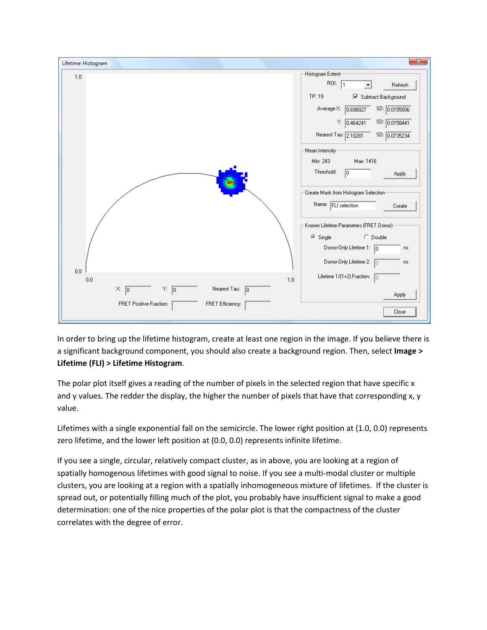

In order to bring up the lifetime histogram, create at least one region in the image. If you believe there is a significant background component, you should also create a background region. Then, select **Image > Lifetime (FLI) > Lifetime Histogram**.

The polar plot itself gives a reading of the number of pixels in the selected region that have specific x and y values. The redder the display, the higher the number of pixels that have that corresponding x, y value.

Lifetimes with a single exponential fall on the semicircle. The lower right position at (1.0, 0.0) represents zero lifetime, and the lower left position at (0.0, 0.0) represents infinite lifetime.

If you see a single, circular, relatively compact cluster, as in above, you are looking at a region of spatially homogenous lifetimes with good signal to noise. If you see a multi-modal cluster or multiple clusters, you are looking at a region with a spatially inhomogeneous mixture of lifetimes. If the cluster is spread out, or potentially filling much of the plot, you probably have insufficient signal to make a good determination: one of the nice properties of the polar plot is that the compactness of the cluster correlates with the degree of error.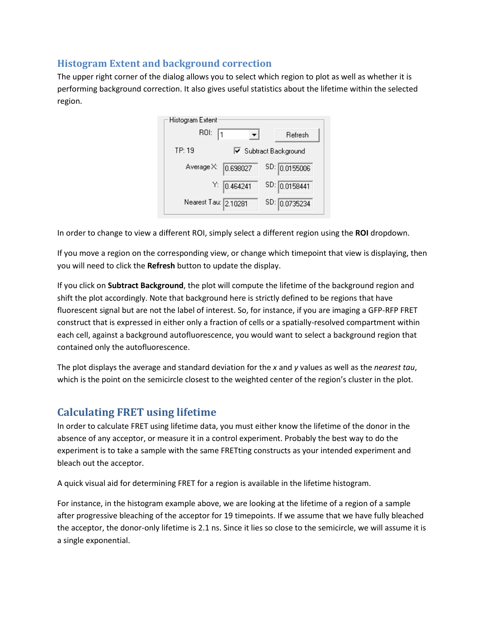## **Histogram Extent and background correction**

The upper right corner of the dialog allows you to select which region to plot as well as whether it is performing background correction. It also gives useful statistics about the lifetime within the selected region.

| Histogram Extent     |                       |               |
|----------------------|-----------------------|---------------|
| ROI:                 |                       | Refresh       |
| TP: 19               | □ Subtract Background |               |
| Average X:           | 0.698027              | SD: 0.0155006 |
|                      | Y: 0.464241           | SD: 0.0158441 |
| Nearest Tau: 2.10281 |                       | SD: 0.0735234 |

In order to change to view a different ROI, simply select a different region using the **ROI** dropdown.

If you move a region on the corresponding view, or change which timepoint that view is displaying, then you will need to click the **Refresh** button to update the display.

If you click on **Subtract Background**, the plot will compute the lifetime of the background region and shift the plot accordingly. Note that background here is strictly defined to be regions that have fluorescent signal but are not the label of interest. So, for instance, if you are imaging a GFP-RFP FRET construct that is expressed in either only a fraction of cells or a spatially-resolved compartment within each cell, against a background autofluorescence, you would want to select a background region that contained only the autofluorescence.

The plot displays the average and standard deviation for the *x* and *y* values as well as the *nearest tau*, which is the point on the semicircle closest to the weighted center of the region's cluster in the plot.

## **Calculating FRET using lifetime**

In order to calculate FRET using lifetime data, you must either know the lifetime of the donor in the absence of any acceptor, or measure it in a control experiment. Probably the best way to do the experiment is to take a sample with the same FRETting constructs as your intended experiment and bleach out the acceptor.

A quick visual aid for determining FRET for a region is available in the lifetime histogram.

For instance, in the histogram example above, we are looking at the lifetime of a region of a sample after progressive bleaching of the acceptor for 19 timepoints. If we assume that we have fully bleached the acceptor, the donor-only lifetime is 2.1 ns. Since it lies so close to the semicircle, we will assume it is a single exponential.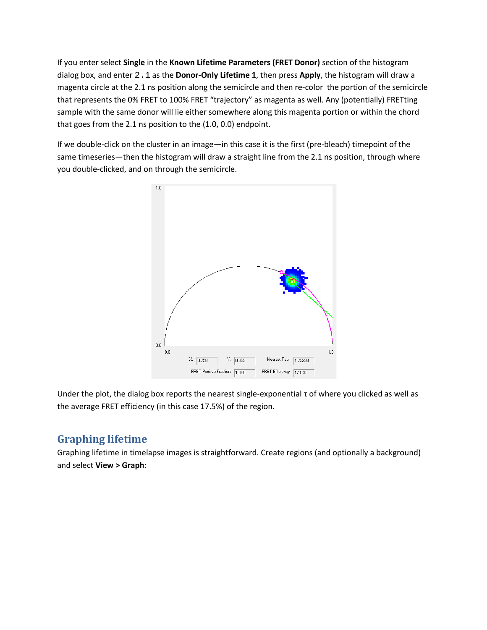If you enter select **Single** in the **Known Lifetime Parameters (FRET Donor)** section of the histogram dialog box, and enter 2.1 as the **Donor-Only Lifetime 1**, then press **Apply**, the histogram will draw a magenta circle at the 2.1 ns position along the semicircle and then re-color the portion of the semicircle that represents the 0% FRET to 100% FRET "trajectory" as magenta as well. Any (potentially) FRETting sample with the same donor will lie either somewhere along this magenta portion or within the chord that goes from the 2.1 ns position to the (1.0, 0.0) endpoint.

If we double-click on the cluster in an image—in this case it is the first (pre-bleach) timepoint of the same timeseries—then the histogram will draw a straight line from the 2.1 ns position, through where you double-clicked, and on through the semicircle.



Under the plot, the dialog box reports the nearest single-exponential τ of where you clicked as well as the average FRET efficiency (in this case 17.5%) of the region.

# **Graphing lifetime**

Graphing lifetime in timelapse images is straightforward. Create regions (and optionally a background) and select **View > Graph**: